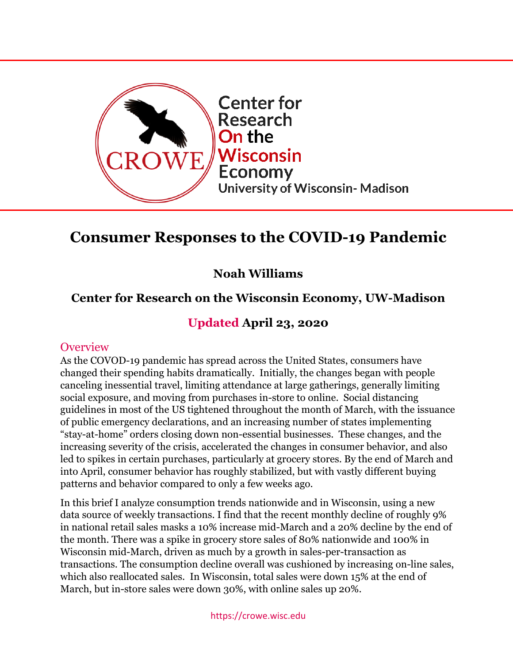

# **Consumer Responses to the COVID-19 Pandemic**

# **Noah Williams**

# **Center for Research on the Wisconsin Economy, UW-Madison**

## **Updated April 23, 2020**

#### **Overview**

As the COVOD-19 pandemic has spread across the United States, consumers have changed their spending habits dramatically. Initially, the changes began with people canceling inessential travel, limiting attendance at large gatherings, generally limiting social exposure, and moving from purchases in-store to online. Social distancing guidelines in most of the US tightened throughout the month of March, with the issuance of public emergency declarations, and an increasing number of states implementing "stay-at-home" orders closing down non-essential businesses. These changes, and the increasing severity of the crisis, accelerated the changes in consumer behavior, and also led to spikes in certain purchases, particularly at grocery stores. By the end of March and into April, consumer behavior has roughly stabilized, but with vastly different buying patterns and behavior compared to only a few weeks ago.

In this brief I analyze consumption trends nationwide and in Wisconsin, using a new data source of weekly transactions. I find that the recent monthly decline of roughly 9% in national retail sales masks a 10% increase mid-March and a 20% decline by the end of the month. There was a spike in grocery store sales of 80% nationwide and 100% in Wisconsin mid-March, driven as much by a growth in sales-per-transaction as transactions. The consumption decline overall was cushioned by increasing on-line sales, which also reallocated sales. In Wisconsin, total sales were down 15% at the end of March, but in-store sales were down 30%, with online sales up 20%.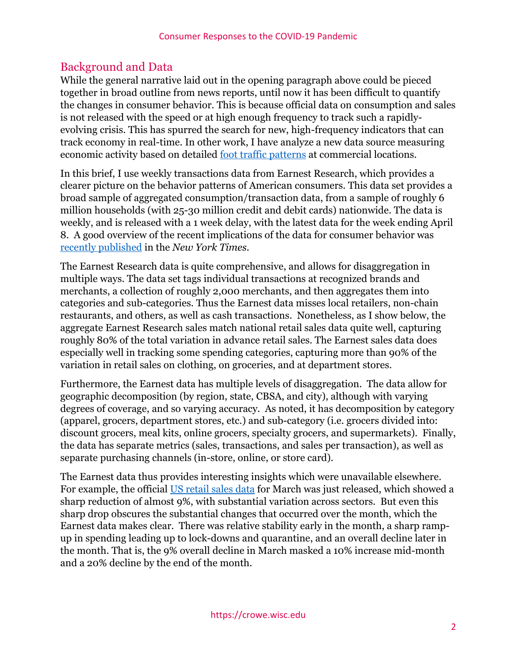## Background and Data

While the general narrative laid out in the opening paragraph above could be pieced together in broad outline from news reports, until now it has been difficult to quantify the changes in consumer behavior. This is because official data on consumption and sales is not released with the speed or at high enough frequency to track such a rapidlyevolving crisis. This has spurred the search for new, high-frequency indicators that can track economy in real-time. In other work, I have analyze a new data source measuring economic activity based on detailed [foot traffic patterns](https://crowe.wisc.edu/wp-content/uploads/sites/313/2020/04/activity-1.pdf) at commercial locations.

In this brief, I use weekly transactions data from Earnest Research, which provides a clearer picture on the behavior patterns of American consumers. This data set provides a broad sample of aggregated consumption/transaction data, from a sample of roughly 6 million households (with 25-30 million credit and debit cards) nationwide. The data is weekly, and is released with a 1 week delay, with the latest data for the week ending April 8. A good overview of the recent implications of the data for consumer behavior was [recently published](https://www.nytimes.com/interactive/2020/04/11/business/economy/coronavirus-us-economy-spending.html) in the *New York Times*.

The Earnest Research data is quite comprehensive, and allows for disaggregation in multiple ways. The data set tags individual transactions at recognized brands and merchants, a collection of roughly 2,000 merchants, and then aggregates them into categories and sub-categories. Thus the Earnest data misses local retailers, non-chain restaurants, and others, as well as cash transactions. Nonetheless, as I show below, the aggregate Earnest Research sales match national retail sales data quite well, capturing roughly 80% of the total variation in advance retail sales. The Earnest sales data does especially well in tracking some spending categories, capturing more than 90% of the variation in retail sales on clothing, on groceries, and at department stores.

Furthermore, the Earnest data has multiple levels of disaggregation. The data allow for geographic decomposition (by region, state, CBSA, and city), although with varying degrees of coverage, and so varying accuracy. As noted, it has decomposition by category (apparel, grocers, department stores, etc.) and sub-category (i.e. grocers divided into: discount grocers, meal kits, online grocers, specialty grocers, and supermarkets). Finally, the data has separate metrics (sales, transactions, and sales per transaction), as well as separate purchasing channels (in-store, online, or store card).

The Earnest data thus provides interesting insights which were unavailable elsewhere. For example, the official [US retail sales data](https://www.census.gov/retail/marts/www/marts_current.pdf) for March was just released, which showed a sharp reduction of almost 9%, with substantial variation across sectors. But even this sharp drop obscures the substantial changes that occurred over the month, which the Earnest data makes clear. There was relative stability early in the month, a sharp rampup in spending leading up to lock-downs and quarantine, and an overall decline later in the month. That is, the 9% overall decline in March masked a 10% increase mid-month and a 20% decline by the end of the month.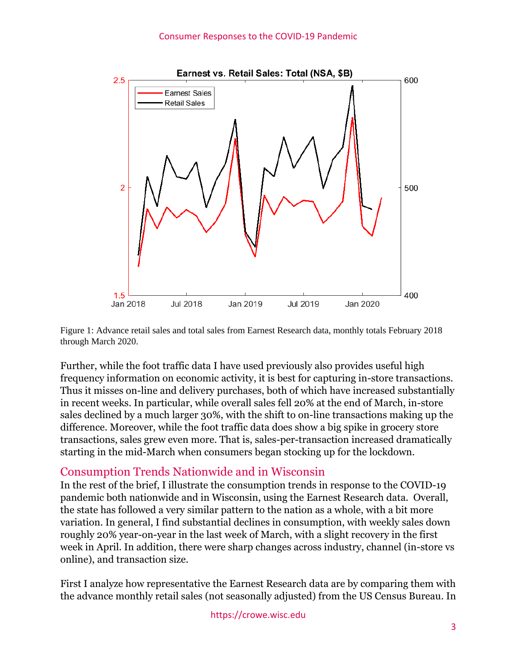



Further, while the foot traffic data I have used previously also provides useful high frequency information on economic activity, it is best for capturing in-store transactions. Thus it misses on-line and delivery purchases, both of which have increased substantially in recent weeks. In particular, while overall sales fell 20% at the end of March, in-store sales declined by a much larger 30%, with the shift to on-line transactions making up the difference. Moreover, while the foot traffic data does show a big spike in grocery store transactions, sales grew even more. That is, sales-per-transaction increased dramatically starting in the mid-March when consumers began stocking up for the lockdown.

### Consumption Trends Nationwide and in Wisconsin

In the rest of the brief, I illustrate the consumption trends in response to the COVID-19 pandemic both nationwide and in Wisconsin, using the Earnest Research data. Overall, the state has followed a very similar pattern to the nation as a whole, with a bit more variation. In general, I find substantial declines in consumption, with weekly sales down roughly 20% year-on-year in the last week of March, with a slight recovery in the first week in April. In addition, there were sharp changes across industry, channel (in-store vs online), and transaction size.

First I analyze how representative the Earnest Research data are by comparing them with the advance monthly retail sales (not seasonally adjusted) from the US Census Bureau. In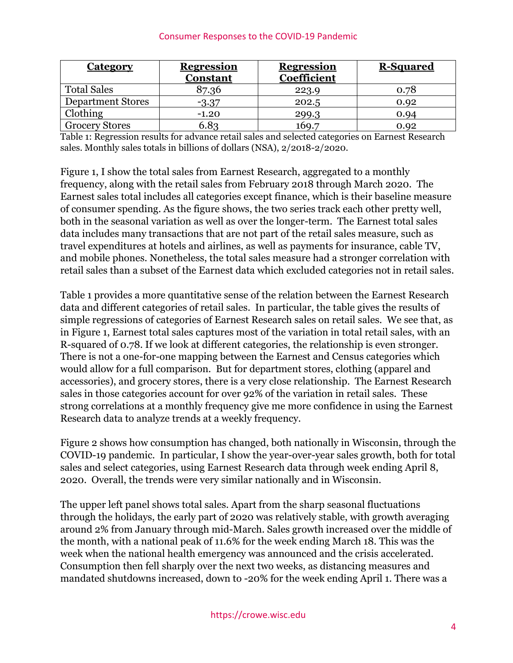#### Consumer Responses to the COVID-19 Pandemic

| <b>Category</b>          | <b>Regression</b><br><b>Constant</b> | <b>Regression</b><br>Coefficient | <b>R-Squared</b> |
|--------------------------|--------------------------------------|----------------------------------|------------------|
| <b>Total Sales</b>       | 87.36                                | 223.9                            | 0.78             |
| <b>Department Stores</b> | $-3.37$                              | 202.5                            | 0.92             |
| Clothing                 | $-1.20$                              | 299.3                            | 0.94             |
| <b>Grocery Stores</b>    | 6.83                                 | 169.7                            | 0.92             |

Table 1: Regression results for advance retail sales and selected categories on Earnest Research sales. Monthly sales totals in billions of dollars (NSA), 2/2018-2/2020.

Figure 1, I show the total sales from Earnest Research, aggregated to a monthly frequency, along with the retail sales from February 2018 through March 2020. The Earnest sales total includes all categories except finance, which is their baseline measure of consumer spending. As the figure shows, the two series track each other pretty well, both in the seasonal variation as well as over the longer-term. The Earnest total sales data includes many transactions that are not part of the retail sales measure, such as travel expenditures at hotels and airlines, as well as payments for insurance, cable TV, and mobile phones. Nonetheless, the total sales measure had a stronger correlation with retail sales than a subset of the Earnest data which excluded categories not in retail sales.

Table 1 provides a more quantitative sense of the relation between the Earnest Research data and different categories of retail sales. In particular, the table gives the results of simple regressions of categories of Earnest Research sales on retail sales. We see that, as in Figure 1, Earnest total sales captures most of the variation in total retail sales, with an R-squared of 0.78. If we look at different categories, the relationship is even stronger. There is not a one-for-one mapping between the Earnest and Census categories which would allow for a full comparison. But for department stores, clothing (apparel and accessories), and grocery stores, there is a very close relationship. The Earnest Research sales in those categories account for over 92% of the variation in retail sales. These strong correlations at a monthly frequency give me more confidence in using the Earnest Research data to analyze trends at a weekly frequency.

Figure 2 shows how consumption has changed, both nationally in Wisconsin, through the COVID-19 pandemic. In particular, I show the year-over-year sales growth, both for total sales and select categories, using Earnest Research data through week ending April 8, 2020. Overall, the trends were very similar nationally and in Wisconsin.

The upper left panel shows total sales. Apart from the sharp seasonal fluctuations through the holidays, the early part of 2020 was relatively stable, with growth averaging around 2% from January through mid-March. Sales growth increased over the middle of the month, with a national peak of 11.6% for the week ending March 18. This was the week when the national health emergency was announced and the crisis accelerated. Consumption then fell sharply over the next two weeks, as distancing measures and mandated shutdowns increased, down to -20% for the week ending April 1. There was a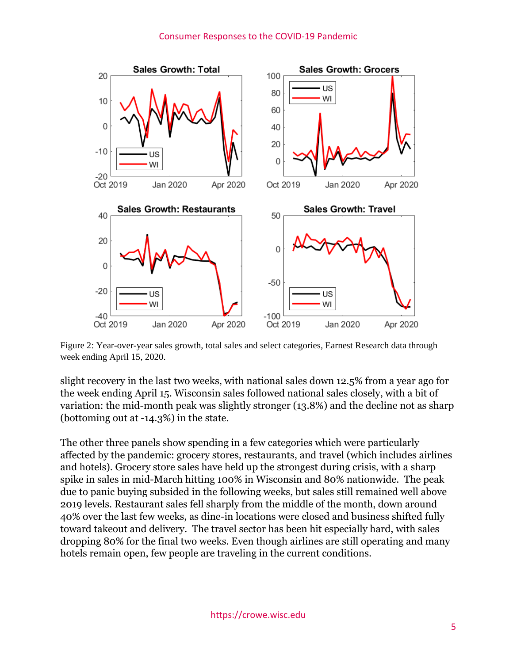#### Consumer Responses to the COVID-19 Pandemic



Figure 2: Year-over-year sales growth, total sales and select categories, Earnest Research data through week ending April 15, 2020.

slight recovery in the last two weeks, with national sales down 12.5% from a year ago for the week ending April 15. Wisconsin sales followed national sales closely, with a bit of variation: the mid-month peak was slightly stronger (13.8%) and the decline not as sharp (bottoming out at -14.3%) in the state.

The other three panels show spending in a few categories which were particularly affected by the pandemic: grocery stores, restaurants, and travel (which includes airlines and hotels). Grocery store sales have held up the strongest during crisis, with a sharp spike in sales in mid-March hitting 100% in Wisconsin and 80% nationwide. The peak due to panic buying subsided in the following weeks, but sales still remained well above 2019 levels. Restaurant sales fell sharply from the middle of the month, down around 40% over the last few weeks, as dine-in locations were closed and business shifted fully toward takeout and delivery. The travel sector has been hit especially hard, with sales dropping 80% for the final two weeks. Even though airlines are still operating and many hotels remain open, few people are traveling in the current conditions.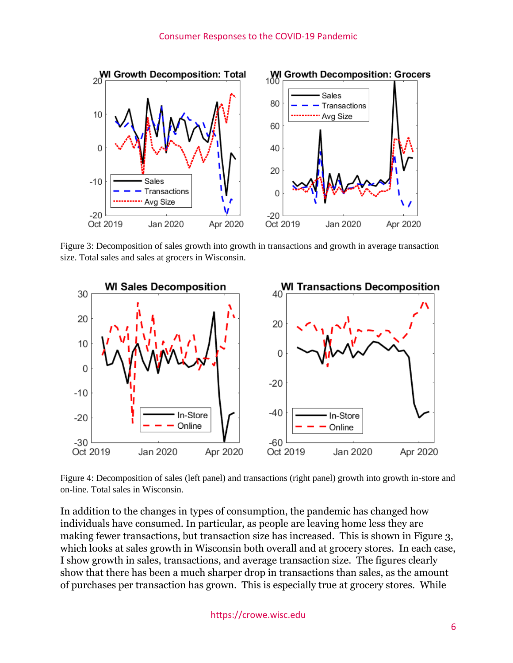

Figure 3: Decomposition of sales growth into growth in transactions and growth in average transaction size. Total sales and sales at grocers in Wisconsin.



Figure 4: Decomposition of sales (left panel) and transactions (right panel) growth into growth in-store and on-line. Total sales in Wisconsin.

In addition to the changes in types of consumption, the pandemic has changed how individuals have consumed. In particular, as people are leaving home less they are making fewer transactions, but transaction size has increased. This is shown in Figure 3, which looks at sales growth in Wisconsin both overall and at grocery stores. In each case, I show growth in sales, transactions, and average transaction size. The figures clearly show that there has been a much sharper drop in transactions than sales, as the amount of purchases per transaction has grown. This is especially true at grocery stores. While